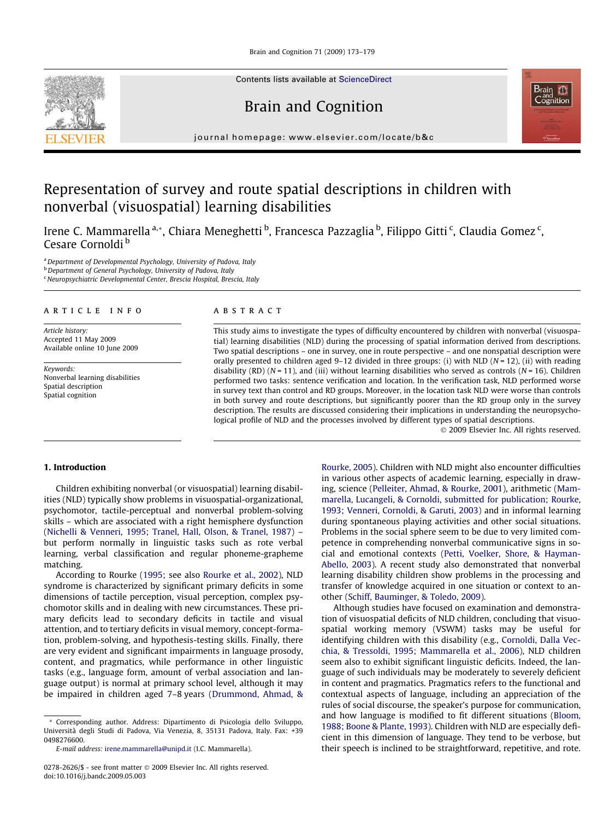Brain and Cognition 71 (2009) 173–179



Contents lists available at [ScienceDirect](http://www.sciencedirect.com/science/journal/02782626)

## Brain and Cognition



journal homepage: [www.elsevier.com/locate/b&c](http://www.elsevier.com/locate/b&c)

# Representation of survey and route spatial descriptions in children with nonverbal (visuospatial) learning disabilities

Irene C. Mammarella <sup>a,</sup>\*, Chiara Meneghetti <sup>b</sup>, Francesca Pazzaglia <sup>b</sup>, Filippo Gitti <sup>c</sup>, Claudia Gomez <sup>c</sup>, Cesare Cornoldi<sup>b</sup>

<sup>a</sup> Department of Developmental Psychology, University of Padova, Italy

b Department of General Psychology, University of Padova, Italy

<sup>c</sup> Neuropsychiatric Developmental Center, Brescia Hospital, Brescia, Italy

#### article info

Article history: Accepted 11 May 2009 Available online 10 June 2009

Keywords: Nonverbal learning disabilities Spatial description Spatial cognition

### **ABSTRACT**

This study aims to investigate the types of difficulty encountered by children with nonverbal (visuospatial) learning disabilities (NLD) during the processing of spatial information derived from descriptions. Two spatial descriptions – one in survey, one in route perspective – and one nonspatial description were orally presented to children aged 9–12 divided in three groups: (i) with NLD ( $N = 12$ ), (ii) with reading disability (RD) ( $N = 11$ ), and (iii) without learning disabilities who served as controls ( $N = 16$ ). Children performed two tasks: sentence verification and location. In the verification task, NLD performed worse in survey text than control and RD groups. Moreover, in the location task NLD were worse than controls in both survey and route descriptions, but significantly poorer than the RD group only in the survey description. The results are discussed considering their implications in understanding the neuropsychological profile of NLD and the processes involved by different types of spatial descriptions.

- 2009 Elsevier Inc. All rights reserved.

#### 1. Introduction

Children exhibiting nonverbal (or visuospatial) learning disabilities (NLD) typically show problems in visuospatial-organizational, psychomotor, tactile-perceptual and nonverbal problem-solving skills – which are associated with a right hemisphere dysfunction ([Nichelli & Venneri, 1995; Tranel, Hall, Olson, & Tranel, 1987](#page--1-0)) – but perform normally in linguistic tasks such as rote verbal learning, verbal classification and regular phoneme-grapheme matching.

According to Rourke ([1995;](#page--1-0) see also [Rourke et al., 2002\)](#page--1-0), NLD syndrome is characterized by significant primary deficits in some dimensions of tactile perception, visual perception, complex psychomotor skills and in dealing with new circumstances. These primary deficits lead to secondary deficits in tactile and visual attention, and to tertiary deficits in visual memory, concept-formation, problem-solving, and hypothesis-testing skills. Finally, there are very evident and significant impairments in language prosody, content, and pragmatics, while performance in other linguistic tasks (e.g., language form, amount of verbal association and language output) is normal at primary school level, although it may be impaired in children aged 7–8 years [\(Drummond, Ahmad, &](#page--1-0)

\* Corresponding author. Address: Dipartimento di Psicologia dello Sviluppo, Università degli Studi di Padova, Via Venezia, 8, 35131 Padova, Italy. Fax: +39 0498276600.

[Rourke, 2005](#page--1-0)). Children with NLD might also encounter difficulties in various other aspects of academic learning, especially in drawing, science [\(Pelleiter, Ahmad, & Rourke, 2001](#page--1-0)), arithmetic ([Mam](#page--1-0)[marella, Lucangeli, & Cornoldi, submitted for publication; Rourke,](#page--1-0) [1993; Venneri, Cornoldi, & Garuti, 2003](#page--1-0)) and in informal learning during spontaneous playing activities and other social situations. Problems in the social sphere seem to be due to very limited competence in comprehending nonverbal communicative signs in social and emotional contexts [\(Petti, Voelker, Shore, & Hayman-](#page--1-0)[Abello, 2003\)](#page--1-0). A recent study also demonstrated that nonverbal learning disability children show problems in the processing and transfer of knowledge acquired in one situation or context to another [\(Schiff, Bauminger, & Toledo, 2009\)](#page--1-0).

Although studies have focused on examination and demonstration of visuospatial deficits of NLD children, concluding that visuospatial working memory (VSWM) tasks may be useful for identifying children with this disability (e.g., [Cornoldi, Dalla Vec](#page--1-0)[chia, & Tressoldi, 1995; Mammarella et al., 2006](#page--1-0)), NLD children seem also to exhibit significant linguistic deficits. Indeed, the language of such individuals may be moderately to severely deficient in content and pragmatics. Pragmatics refers to the functional and contextual aspects of language, including an appreciation of the rules of social discourse, the speaker's purpose for communication, and how language is modified to fit different situations ([Bloom,](#page--1-0) [1988; Boone & Plante, 1993](#page--1-0)). Children with NLD are especially deficient in this dimension of language. They tend to be verbose, but their speech is inclined to be straightforward, repetitive, and rote.

E-mail address: [irene.mammarella@unipd.it](mailto:irene.mammarella@unipd.it) (I.C. Mammarella).

<sup>0278-2626/\$ -</sup> see front matter © 2009 Elsevier Inc. All rights reserved. doi:10.1016/j.bandc.2009.05.003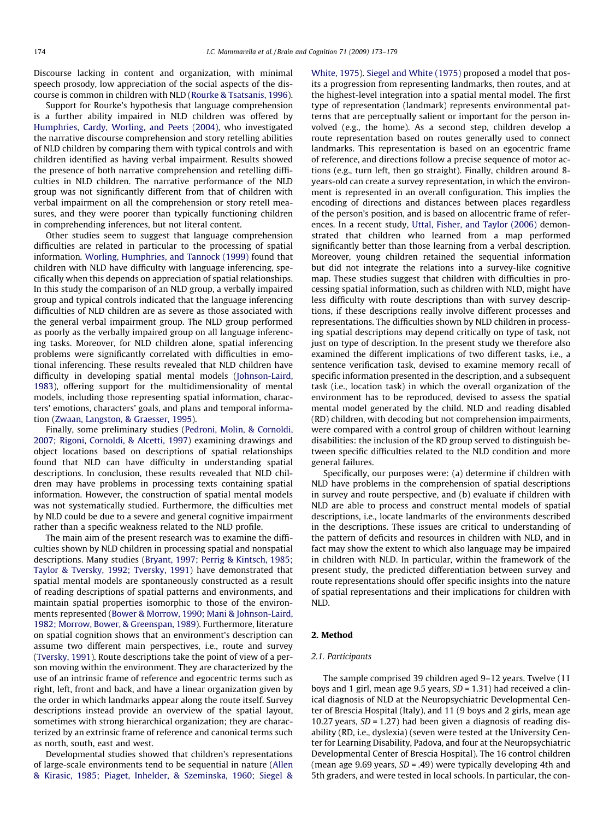Discourse lacking in content and organization, with minimal speech prosody, low appreciation of the social aspects of the discourse is common in children with NLD [\(Rourke & Tsatsanis, 1996\)](#page--1-0).

Support for Rourke's hypothesis that language comprehension is a further ability impaired in NLD children was offered by [Humphries, Cardy, Worling, and Peets \(2004\)](#page--1-0), who investigated the narrative discourse comprehension and story retelling abilities of NLD children by comparing them with typical controls and with children identified as having verbal impairment. Results showed the presence of both narrative comprehension and retelling difficulties in NLD children. The narrative performance of the NLD group was not significantly different from that of children with verbal impairment on all the comprehension or story retell measures, and they were poorer than typically functioning children in comprehending inferences, but not literal content.

Other studies seem to suggest that language comprehension difficulties are related in particular to the processing of spatial information. [Worling, Humphries, and Tannock \(1999\)](#page--1-0) found that children with NLD have difficulty with language inferencing, specifically when this depends on appreciation of spatial relationships. In this study the comparison of an NLD group, a verbally impaired group and typical controls indicated that the language inferencing difficulties of NLD children are as severe as those associated with the general verbal impairment group. The NLD group performed as poorly as the verbally impaired group on all language inferencing tasks. Moreover, for NLD children alone, spatial inferencing problems were significantly correlated with difficulties in emotional inferencing. These results revealed that NLD children have difficulty in developing spatial mental models [\(Johnson-Laird,](#page--1-0) [1983\)](#page--1-0), offering support for the multidimensionality of mental models, including those representing spatial information, characters' emotions, characters' goals, and plans and temporal information [\(Zwaan, Langston, & Graesser, 1995\)](#page--1-0).

Finally, some preliminary studies [\(Pedroni, Molin, & Cornoldi,](#page--1-0) [2007; Rigoni, Cornoldi, & Alcetti, 1997](#page--1-0)) examining drawings and object locations based on descriptions of spatial relationships found that NLD can have difficulty in understanding spatial descriptions. In conclusion, these results revealed that NLD children may have problems in processing texts containing spatial information. However, the construction of spatial mental models was not systematically studied. Furthermore, the difficulties met by NLD could be due to a severe and general cognitive impairment rather than a specific weakness related to the NLD profile.

The main aim of the present research was to examine the difficulties shown by NLD children in processing spatial and nonspatial descriptions. Many studies ([Bryant, 1997; Perrig & Kintsch, 1985;](#page--1-0) [Taylor & Tversky, 1992; Tversky, 1991\)](#page--1-0) have demonstrated that spatial mental models are spontaneously constructed as a result of reading descriptions of spatial patterns and environments, and maintain spatial properties isomorphic to those of the environments represented [\(Bower & Morrow, 1990; Mani & Johnson-Laird,](#page--1-0) [1982; Morrow, Bower, & Greenspan, 1989\)](#page--1-0). Furthermore, literature on spatial cognition shows that an environment's description can assume two different main perspectives, i.e., route and survey ([Tversky, 1991](#page--1-0)). Route descriptions take the point of view of a person moving within the environment. They are characterized by the use of an intrinsic frame of reference and egocentric terms such as right, left, front and back, and have a linear organization given by the order in which landmarks appear along the route itself. Survey descriptions instead provide an overview of the spatial layout, sometimes with strong hierarchical organization; they are characterized by an extrinsic frame of reference and canonical terms such as north, south, east and west.

Developmental studies showed that children's representations of large-scale environments tend to be sequential in nature [\(Allen](#page--1-0) [& Kirasic, 1985; Piaget, Inhelder, & Szeminska, 1960; Siegel &](#page--1-0) [White, 1975](#page--1-0)). [Siegel and White \(1975\)](#page--1-0) proposed a model that posits a progression from representing landmarks, then routes, and at the highest-level integration into a spatial mental model. The first type of representation (landmark) represents environmental patterns that are perceptually salient or important for the person involved (e.g., the home). As a second step, children develop a route representation based on routes generally used to connect landmarks. This representation is based on an egocentric frame of reference, and directions follow a precise sequence of motor actions (e.g., turn left, then go straight). Finally, children around 8 years-old can create a survey representation, in which the environment is represented in an overall configuration. This implies the encoding of directions and distances between places regardless of the person's position, and is based on allocentric frame of references. In a recent study, [Uttal, Fisher, and Taylor \(2006\)](#page--1-0) demonstrated that children who learned from a map performed significantly better than those learning from a verbal description. Moreover, young children retained the sequential information but did not integrate the relations into a survey-like cognitive map. These studies suggest that children with difficulties in processing spatial information, such as children with NLD, might have less difficulty with route descriptions than with survey descriptions, if these descriptions really involve different processes and representations. The difficulties shown by NLD children in processing spatial descriptions may depend critically on type of task, not just on type of description. In the present study we therefore also examined the different implications of two different tasks, i.e., a sentence verification task, devised to examine memory recall of specific information presented in the description, and a subsequent task (i.e., location task) in which the overall organization of the environment has to be reproduced, devised to assess the spatial mental model generated by the child. NLD and reading disabled (RD) children, with decoding but not comprehension impairments, were compared with a control group of children without learning disabilities: the inclusion of the RD group served to distinguish between specific difficulties related to the NLD condition and more general failures.

Specifically, our purposes were: (a) determine if children with NLD have problems in the comprehension of spatial descriptions in survey and route perspective, and (b) evaluate if children with NLD are able to process and construct mental models of spatial descriptions, i.e., locate landmarks of the environments described in the descriptions. These issues are critical to understanding of the pattern of deficits and resources in children with NLD, and in fact may show the extent to which also language may be impaired in children with NLD. In particular, within the framework of the present study, the predicted differentiation between survey and route representations should offer specific insights into the nature of spatial representations and their implications for children with NLD.

## 2. Method

#### 2.1. Participants

The sample comprised 39 children aged 9–12 years. Twelve (11 boys and 1 girl, mean age 9.5 years,  $SD = 1.31$ ) had received a clinical diagnosis of NLD at the Neuropsychiatric Developmental Center of Brescia Hospital (Italy), and 11 (9 boys and 2 girls, mean age 10.27 years, SD = 1.27) had been given a diagnosis of reading disability (RD, i.e., dyslexia) (seven were tested at the University Center for Learning Disability, Padova, and four at the Neuropsychiatric Developmental Center of Brescia Hospital). The 16 control children (mean age 9.69 years,  $SD = .49$ ) were typically developing 4th and 5th graders, and were tested in local schools. In particular, the con-